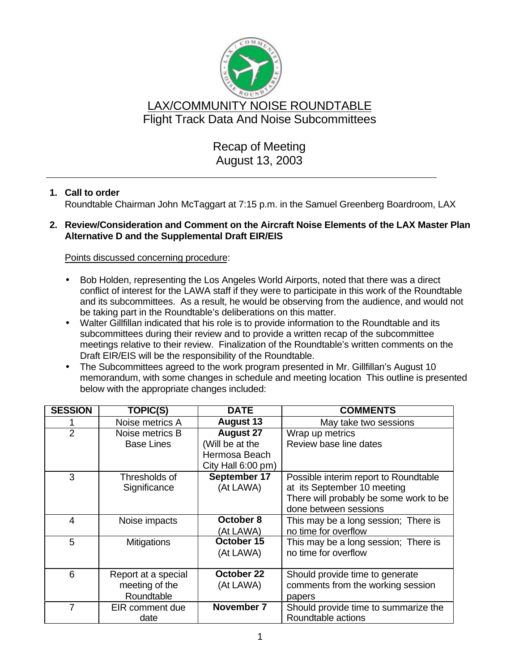

# Recap of Meeting August 13, 2003

## **1. Call to order**

Roundtable Chairman John McTaggart at 7:15 p.m. in the Samuel Greenberg Boardroom, LAX

### **2. Review/Consideration and Comment on the Aircraft Noise Elements of the LAX Master Plan Alternative D and the Supplemental Draft EIR/EIS**

### Points discussed concerning procedure:

- Bob Holden, representing the Los Angeles World Airports, noted that there was a direct conflict of interest for the LAWA staff if they were to participate in this work of the Roundtable and its subcommittees. As a result, he would be observing from the audience, and would not be taking part in the Roundtable's deliberations on this matter.
- Walter Gillfillan indicated that his role is to provide information to the Roundtable and its subcommittees during their review and to provide a written recap of the subcommittee meetings relative to their review. Finalization of the Roundtable's written comments on the Draft EIR/EIS will be the responsibility of the Roundtable.
- The Subcommittees agreed to the work program presented in Mr. Gillfillan's August 10 memorandum, with some changes in schedule and meeting location This outline is presented below with the appropriate changes included:

| <b>SESSION</b> | <b>TOPIC(S)</b>     | <b>DATE</b>        | <b>COMMENTS</b>                        |
|----------------|---------------------|--------------------|----------------------------------------|
|                | Noise metrics A     | <b>August 13</b>   | May take two sessions                  |
| $\overline{2}$ | Noise metrics B     | <b>August 27</b>   | Wrap up metrics                        |
|                | <b>Base Lines</b>   | (Will be at the    | Review base line dates                 |
|                |                     | Hermosa Beach      |                                        |
|                |                     | City Hall 6:00 pm) |                                        |
| 3              | Thresholds of       | September 17       | Possible interim report to Roundtable  |
|                | Significance        | (At LAWA)          | at its September 10 meeting            |
|                |                     |                    | There will probably be some work to be |
|                |                     |                    | done between sessions                  |
| 4              | Noise impacts       | October 8          | This may be a long session; There is   |
|                |                     | (At LAWA)          | no time for overflow                   |
| 5              | <b>Mitigations</b>  | October 15         | This may be a long session; There is   |
|                |                     | (At LAWA)          | no time for overflow                   |
|                |                     |                    |                                        |
| 6              | Report at a special | October 22         | Should provide time to generate        |
|                | meeting of the      | (At LAWA)          | comments from the working session      |
|                | Roundtable          |                    | papers                                 |
| 7              | EIR comment due     | November 7         | Should provide time to summarize the   |
|                | date                |                    | Roundtable actions                     |